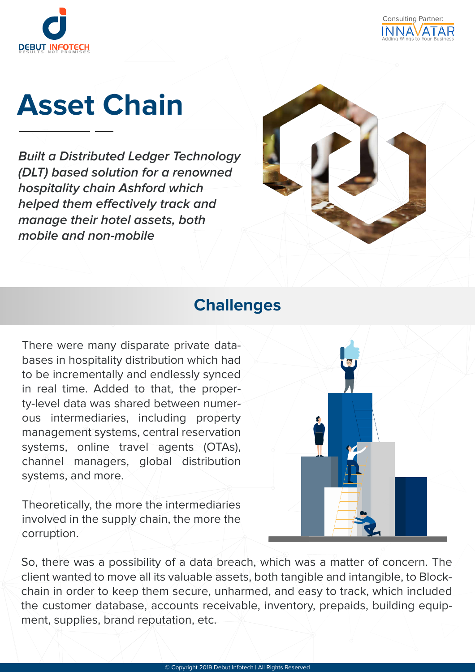



# **Asset Chain**

**Built a Distributed Ledger Technology (DLT) based solution for a renowned hospitality chain Ashford which helped them effectively track and manage their hotel assets, both mobile and non-mobile**



### **Challenges**

There were many disparate private databases in hospitality distribution which had to be incrementally and endlessly synced in real time. Added to that, the property-level data was shared between numerous intermediaries, including property management systems, central reservation systems, online travel agents (OTAs), channel managers, global distribution systems, and more.

Theoretically, the more the intermediaries involved in the supply chain, the more the corruption.



So, there was a possibility of a data breach, which was a matter of concern. The client wanted to move all its valuable assets, both tangible and intangible, to Blockchain in order to keep them secure, unharmed, and easy to track, which included the customer database, accounts receivable, inventory, prepaids, building equipment, supplies, brand reputation, etc.